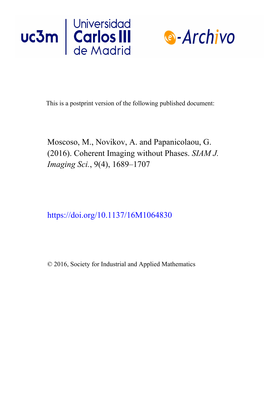



This is a postprint version of the following published document:

Moscoso, M., Novikov, A. and Papanicolaou, G. (2016). Coherent Imaging without Phases. *SIAM J. Imaging Sci.*, 9(4), 1689–1707

https://doi.org/10.1137/16M1064830

© 2016, Society for Industrial and Applied Mathematics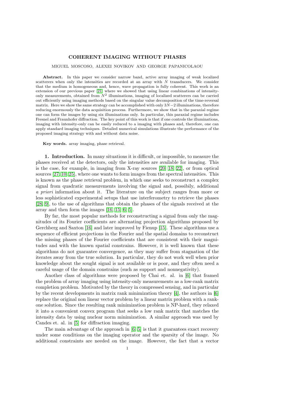## COHERENT IMAGING WITHOUT PHASES

MIGUEL MOSCOSO, ALEXEI NOVIKOV AND GEORGE PAPANICOLAOU

Abstract. In this paper we consider narrow band, active array imaging of weak localized scatterers when only the intensities are recorded at an array with  $N$  transducers. We consider that the medium is homogeneous and, hence, wave propagation is fully coherent. This work is an extension of our previous paper [\[21\]](#page-18-0) where we showed that using linear combinations of intensityonly measurements, obtained from  $N^2$  illuminations, imaging of localized scatterers can be carried out efficiently using imaging methods based on the singular value decomposition of the time-reversal matrix. Here we show the same strategy can be accomplished with only  $3N-2$  illuminations, therefore reducing enormously the data acquisition process. Furthermore, we show that in the paraxial regime one can form the images by using six illuminations only. In particular, this paraxial regime includes Fresnel and Fraunhofer diffraction. The key point of this work is that if one controls the illuminations, imaging with intensity-only can be easily reduced to a imaging with phases and, therefore, one can apply standard imaging techniques. Detailed numerical simulations illustrate the performance of the proposed imaging strategy with and without data noise.

Key words. array imaging, phase retrieval.

1. Introduction. In many situations it is difficult, or impossible, to measure the phases received at the detectors, only the intensities are available for imaging. This is the case, for example, in imaging from X-ray sources [\[20,](#page-18-1) [18,](#page-18-2) [22\]](#page-18-3), or from optical sources [\[27,](#page-18-4) [10,](#page-18-5) [25\]](#page-18-6), where one wants to form images from the spectral intensities. This is known as the phase retrieval problem, in which one seeks to reconstruct a complex signal from quadratic measurements involving the signal and, possibily, additional a priori information about it. The literature on the subject ranges from more or less sophisticated experimental setups that use interferometry to retrieve the phases [\[28,](#page-18-7) [9\]](#page-18-8), to the use of algorithms that obtain the phases of the signals received at the array and then form the images [\[16,](#page-18-9) [15,](#page-18-10) [6,](#page-17-0) [5\]](#page-17-1).

By far, the most popular methods for reconstructing a signal from only the magnitudes of its Fourier coefficients are alternating projection algorithms proposed by Gerchberg and Saxton [\[16\]](#page-18-9) and later improved by Fienup [\[15\]](#page-18-10). These algorithms use a sequence of efficient projections in the Fourier and the spatial domains to reconstruct the missing phases of the Fourier coefficients that are consistent with their magnitudes and with the known spatial constrains. However, it is well known that these algorithms do not guarantee convergence, as they may suffer from stagnation of the iterates away from the true solution. In particular, they do not work well when prior knowledge about the sought signal is not available or is poor, and they often need a careful usage of the domain constrains (such as support and nonnegativity).

Another class of algorithms were proposed by Chai et. al. in [\[6\]](#page-17-0) that framed the problem of array imaging using intensity-only measurements as a low-rank matrix completion problem. Motivated by the theory in compressed sensing, and in particular by the recent developments in matrix rank minimization theory [\[4\]](#page-17-2), the authors in [\[6\]](#page-17-0) replace the original non linear vector problem by a linear matrix problem with a rankone solution. Since the resulting rank minimization problem is NP-hard, they relaxed it into a convenient convex program that seeks a low rank matrix that matches the intensity data by using nuclear norm minimization. A similar approach was used by Candes et. al. in [\[5\]](#page-17-1) for diffraction imaging.

The main advantage of the approach in [\[6,](#page-17-0) [5\]](#page-17-1) is that it guarantees exact recovery under some conditions on the imaging operator and the sparsity of the image. No additional constraints are needed on the image. However, the fact that a vector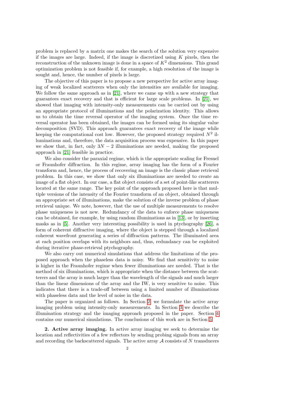problem is replaced by a matrix one makes the search of the solution very expensive if the images are large. Indeed, if the image is discretized using  $K$  pixels, then the reconstruction of the unknown image is done in a space of  $K^2$  dimensions. This grand optimization problem is not feasible if, for example, a high resolution of the image is sought and, hence, the number of pixels is large.

The objective of this paper is to propose a new perspective for active array imaging of weak localized scatterers when only the intensities are available for imaging. We follow the same approach as in [\[21\]](#page-18-0), where we came up with a new strategy that guarantees exact recovery and that is efficient for large scale problems. In [\[21\]](#page-18-0), we showed that imaging with intensity-only measurements can be carried out by using an appropriate protocol of illuminations and the polarization identity. This allows us to obtain the time reversal operator of the imaging system. Once the time reversal operator has been obtained, the images can be formed using its singular value decomposition (SVD). This approach guarantees exact recovery of the image while keeping the computational cost low. However, the proposed strategy required  $N^2$  illuminations and, therefore, the data acquisition process was expensive. In this paper we show that, in fact, only  $3N - 2$  illuminations are needed, making the proposed approach in [\[21\]](#page-18-0) feasible in practice.

We also consider the paraxial regime, which is the appropriate scaling for Fresnel or Fraunhofer diffraction. In this regime, array imaging has the form of a Fourier transform and, hence, the process of recovering an image is the classic phase retrieval problem. In this case, we show that only six illuminations are needed to create an image of a flat object. In our case, a flat object consists of a set of point-like scatterers located at the same range. The key point of the approach proposed here is that multiple versions of the intensity of the Fourier transform of an object, obtained through an appropriate set of illuminations, make the solution of the inverse problem of phase retrieval unique. We note, however, that the use of multiple measurements to resolve phase uniqueness is not new. Redundancy of the data to enforce phase uniqueness can be obtained, for example, by using random illuminations as in [\[13\]](#page-18-11), or by inserting masks as in [\[5\]](#page-17-1). Another very interesting possibility is used in ptychography [\[26\]](#page-18-12), a form of coherent diffractive imaging, where the object is stepped through a localized coherent wavefront generating a series of diffraction patterns. The illuminated area at each position overlaps with its neighbors and, thus, redundancy can be exploited during iterative phase-retrieval ptychography.

We also carry out numerical simulations that address the limitations of the proposed approach when the phaseless data is noisy. We find that sensitivity to noise is higher in the Fraunhofer regime when fewer illuminations are needed. That is the method of six illuminations, which is appropriate when the distance between the scatterers and the array is much larger than the wavelength of the signals and much larger than the linear dimensions of the array and the IW, is very sensitive to noise. This indicates that there is a trade-off between using a limited number of illuminations with phaseless data and the level of noise in the data.

The paper is organized as follows. In Section [2,](#page-2-0) we formulate the active array imaging problem using intensity-only measurements. In Section [3](#page-4-0) we describe the illumination strategy and the imaging approach proposed in the paper. Section [4](#page-9-0) contains our numerical simulations. The conclusions of this work are in Section [5.](#page-15-0)

<span id="page-2-0"></span>2. Active array imaging. In active array imaging we seek to determine the location and reflectivities of a few reflectors by sending probing signals from an array and recording the backscattered signals. The active array  $A$  consists of  $N$  transducers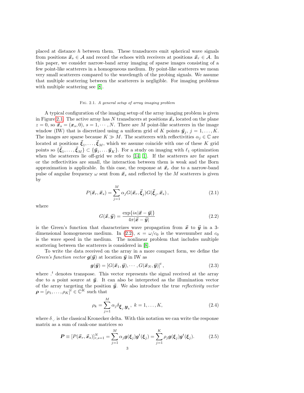placed at distance h between them. These transducers emit spherical wave signals from positions  $\vec{x}_s \in \mathcal{A}$  and record the echoes with receivers at positions  $\vec{x}_r \in \mathcal{A}$ . In this paper, we consider narrow-band array imaging of sparse images consisting of a few point-like scatterers in a homogeneous medium. By point-like scatterers we mean very small scatterers compared to the wavelength of the probing signals. We assume that multiple scattering between the scatterers is negligible. For imaging problems with multiple scattering see [\[8\]](#page-18-13).

## <span id="page-3-0"></span>Fig. 2.1. A general setup of array imaging problem

A typical configuration of the imaging setup of the array imaging problem is given in Figure [2.1.](#page-3-0) The active array has N transducers at positions  $\vec{x}_s$  located on the plane  $z = 0$ , so  $\vec{x}_s = (\vec{x}_s, 0)$ ,  $s = 1, \dots, N$ . There are M point-like scatterers in the image window (IW) that is discretized using a uniform grid of K points  $\vec{y}_j$ ,  $j = 1, ..., K$ . The images are sparse because  $K \gg M$ . The scatterers with reflectivities  $\alpha_j \in \mathbb{C}$  are located at positions  $\vec{\xi}_1, \ldots, \vec{\xi}_M$ , which we assume coincide with one of these K grid points so  $\{\vec{\xi}_1,\ldots,\vec{\xi}_M\} \subset \{\vec{y}_1,\ldots\vec{y}_K\}$ . For a study on imaging with  $\ell_1$  optimization when the scatterers lie off-grid we refer to  $[14, 1]$  $[14, 1]$ . If the scatterers are far apart or the reflectivities are small, the interaction between them is weak and the Born approximation is applicable. In this case, the response at  $\vec{x}_r$  due to a narrow-band pulse of angular frequency  $\omega$  sent from  $\vec{x}_s$  and reflected by the M scatterers is given by

<span id="page-3-4"></span>
$$
P(\vec{\boldsymbol{x}}_r, \vec{\boldsymbol{x}}_s) = \sum_{j=1}^M \alpha_j G(\vec{\boldsymbol{x}}_r, \vec{\boldsymbol{\xi}}_j) G(\vec{\boldsymbol{\xi}}_j, \vec{\boldsymbol{x}}_s),
$$
\n(2.1)

where

<span id="page-3-1"></span>
$$
G(\vec{x}, \vec{y}) = \frac{\exp\{i\kappa |\vec{x} - \vec{y}| \}}{4\pi |\vec{x} - \vec{y}|}
$$
\n(2.2)

is the Green's function that characterizes wave propagation from  $\vec{x}$  to  $\vec{y}$  in a 3-dimensional homogeneous medium. In [\(2.2\)](#page-3-1),  $\kappa = \omega/c_0$  is the wavenumber and  $c_0$ is the wave speed in the medium. The nonlinear problem that includes multiple scattering between the scatterers is considered in [\[8\]](#page-18-13).

To write the data received on the array in a more compact form, we define the Green's function vector  $g(\vec{y})$  at location  $\vec{y}$  in IW as

<span id="page-3-2"></span>
$$
\boldsymbol{g}(\vec{\boldsymbol{y}}) = [G(\vec{\boldsymbol{x}}_1, \vec{\boldsymbol{y}}), \cdots, G(\vec{\boldsymbol{x}}_N, \vec{\boldsymbol{y}})]^t, \qquad (2.3)
$$

where  $\cdot$ <sup>t</sup> denotes transpose. This vector represents the signal received at the array due to a point source at  $\vec{y}$ . It can also be interpreted as the illumination vector of the array targeting the position  $\vec{y}$ . We also introduce the true *reflectivity vector*  $\boldsymbol{\rho} = [\rho_1, \ldots, \rho_K]^{\tilde{t}} \in \mathbb{C}^K$  such that

$$
\rho_k = \sum_{j=1}^{M} \alpha_j \delta_{\boldsymbol{\xi}_j, \boldsymbol{y}_k}, \ k = 1, \dots, K,
$$
\n(2.4)

where  $\delta_{\cdot,\cdot}$  is the classical Kronecker delta. With this notation we can write the response matrix as a sum of rank-one matrices so

<span id="page-3-3"></span>
$$
\boldsymbol{P} \equiv [P(\vec{x}_r, \vec{x}_s)]_{r,s=1}^N = \sum_{j=1}^M \alpha_j \boldsymbol{g}(\xi_j) \boldsymbol{g}^t(\xi_j) = \sum_{j=1}^K \rho_j \boldsymbol{g}(\xi_j) \boldsymbol{g}^t(\xi_j). \tag{2.5}
$$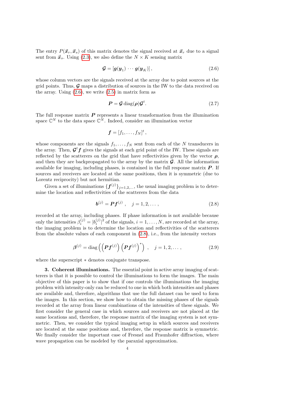The entry  $P(\vec{x}_r, \vec{x}_s)$  of this matrix denotes the signal received at  $\vec{x}_r$  due to a signal sent from  $\vec{x}_s$ . Using [\(2.3\)](#page-3-2), we also define the  $N \times K$  sensing matrix

<span id="page-4-1"></span>
$$
\mathcal{G} = \left[ \mathbf{g}(\mathbf{y}_1) \cdots \mathbf{g}(\mathbf{y}_K) \right],\tag{2.6}
$$

whose column vectors are the signals received at the array due to point sources at the grid points. Thus,  $\mathcal{G}$  maps a distribution of sources in the IW to the data received on the array. Using  $(2.6)$ , we write  $(2.5)$  in matrix form as

$$
P = \mathcal{G} \operatorname{diag}(\rho) \mathcal{G}^t. \tag{2.7}
$$

The full response matrix  $P$  represents a linear transformation from the illumination space  $\mathbb{C}^N$  to the data space  $\mathbb{C}^N$ . Indeed, consider an illumination vector

$$
\boldsymbol{f}=[f_1,\ldots,f_N]^t,
$$

whose components are the signals  $f_1, \ldots, f_N$  sent from each of the N transducers in the array. Then,  $\mathcal{G}^t f$  gives the signals at each grid point of the IW. These signals are reflected by the scatterers on the grid that have reflectivities given by the vector  $\rho$ , and then they are backpropagated to the array by the matrix  $\mathcal{G}$ . All the information available for imaging, including phases, is contained in the full response matrix  $P$ . If sources and receivers are located at the same positions, then it is symmetric (due to Lorentz reciprocity) but not hermitian.

Given a set of illuminations  $\{f^{(j)}\}_{j=1,2,...}$ , the usual imaging problem is to determine the location and reflectivities of the scatterers from the data

<span id="page-4-2"></span>
$$
\mathbf{b}^{(j)} = \mathbf{P} \mathbf{f}^{(j)} , \quad j = 1, 2, \dots, \tag{2.8}
$$

recorded at the array, including phases. If phase information is not available because only the intensities  $\beta_i^{(j)} = |b_i^{(j)}|^2$  of the signals,  $i = 1, ..., N$ , are recorded at the array, the imaging problem is to determine the location and reflectivities of the scatterers from the absolute values of each component in [\(2.8\)](#page-4-2), i.e., from the intensity vectors

<span id="page-4-3"></span>
$$
\boldsymbol{\beta}^{(j)} = \text{diag}\left(\left(\boldsymbol{P}f^{(j)}\right)\left(\boldsymbol{P}f^{(j)}\right)^*\right) \,, \quad j = 1, 2, \dots \,, \tag{2.9}
$$

where the superscript ∗ denotes conjugate transpose.

<span id="page-4-0"></span>3. Coherent illuminations. The essential point in active array imaging of scatterers is that it is possible to control the illuminations to form the images. The main objective of this paper is to show that if one controls the illuminations the imaging problem with intensity-only can be reduced to one in which both intensities and phases are available and, therefore, algorithms that use the full dataset can be used to form the images. In this section, we show how to obtain the missing phases of the signals recorded at the array from linear combinations of the intensities of these signals. We first consider the general case in which sources and receivers are not placed at the same locations and, therefore, the response matrix of the imaging system is not symmetric. Then, we consider the typical imaging setup in which sources and receivers are located at the same positions and, therefore, the response matrix is symmetric. We finally consider the important case of Fresnel and Fraunhofer diffraction, where wave propagation can be modeled by the paraxial approximation.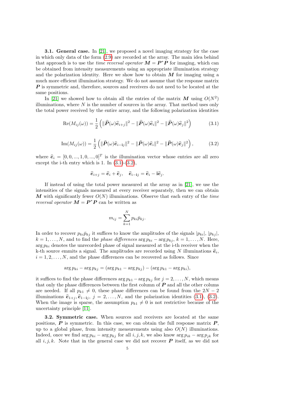<span id="page-5-2"></span>**3.1. General case.** In [\[21\]](#page-18-0), we proposed a novel imaging strategy for the case in which only data of the form [\(2.9\)](#page-4-3) are recorded at the array. The main idea behind that approach is to use the *time reversal operator*  $M = P^*P$  for imaging, which can be obtained from intensity measurements using an appropriate illumination strategy and the polarization identity. Here we show how to obtain  $M$  for imaging using a much more efficient illumination strategy. We do not assume that the response matrix  $\boldsymbol{P}$  is symmetric and, therefore, sources and receivers do not need to be located at the same positions.

In [\[21\]](#page-18-0) we showed how to obtain all the entries of the matrix M using  $O(N^2)$ illuminations, where  $N$  is the number of sources in the array. That method uses only the total power received by the entire array, and the following polarization identities

<span id="page-5-0"></span>
$$
\operatorname{Re}(M_{ij}(\omega)) = \frac{1}{2} \left( \|\widehat{\boldsymbol{P}}(\omega)\widehat{\boldsymbol{e}}_{i+j}\|^2 - \|\widehat{\boldsymbol{P}}(\omega)\widehat{\boldsymbol{e}}_i\|^2 - \|\widehat{\boldsymbol{P}}(\omega)\widehat{\boldsymbol{e}}_j\|^2 \right) \tag{3.1}
$$

<span id="page-5-1"></span>
$$
\operatorname{Im}(M_{ij}(\omega)) = \frac{1}{2} \left( \|\widehat{\boldsymbol{P}}(\omega)\widehat{\boldsymbol{e}}_{i-1j}\|^2 - \|\widehat{\boldsymbol{P}}(\omega)\widehat{\boldsymbol{e}}_i\|^2 - \|\widehat{\boldsymbol{P}}(\omega)\widehat{\boldsymbol{e}}_j\|^2 \right),\tag{3.2}
$$

where  $\hat{\mathbf{e}}_i = [0, 0, ..., 1, 0, ..., 0]^T$  is the illumination vector whose entries are all zero except the i th ortry which is 1. In (2.1) (2.2) except the i-th entry which is 1. In  $(3.1)-(3.2)$  $(3.1)-(3.2)$  $(3.1)-(3.2)$ ,

$$
\widehat{\boldsymbol{e}}_{i+j} = \widehat{\boldsymbol{e}}_i + \widehat{\boldsymbol{e}}_j, \quad \widehat{\boldsymbol{e}}_{i-1j} = \widehat{\boldsymbol{e}}_i - \mathbf{i}\widehat{\boldsymbol{e}}_j.
$$

If instead of using the total power measured at the array as in [\[21\]](#page-18-0), we use the intensities of the signals measured at every receiver separately, then we can obtain M with significantly fewer  $O(N)$  illuminations. Observe that each entry of the time *reversal operator*  $M = P^*P$  can be written as

$$
m_{ij} = \sum_{k=1}^{N} p_{ki} \bar{p}_{kj}.
$$

In order to recover  $p_{ki}\bar{p}_{kj}$  it suffices to know the amplitudes of the signals  $|p_{ki}|, |p_{kj}|$ ,  $k = 1, \ldots, N$ , and to find the phase differences arg  $p_{ki} - \arg p_{kj}$ ,  $k = 1, \ldots, N$ . Here,  $\arg p_{ki}$  denotes the unrecorded phase of signal measured at the i-th receiver when the k-th source emmits a signal. The amplitudes are recorded using N illuminations  $\hat{e}_i$ ,<br> $\hat{e}_i = 1, 2, ..., N$  and the phase differences can be recovered as follows. Since  $i = 1, 2, \ldots, N$ , and the phase differences can be recovered as follows. Since

$$
\arg p_{ki} - \arg p_{kj} = (\arg p_{k1} - \arg p_{kj}) - (\arg p_{k1} - \arg p_{ki}),
$$

it suffices to find the phase differences  $\arg p_{k1} - \arg p_{kj}$  for  $j = 2, ..., N$ , which means that only the phase differences between the first column of  $\boldsymbol{P}$  and all the other colums are needed. If all  $p_{k1} \neq 0$ , these phase differences can be found from the  $2N - 2$ illuminations  $\hat{\mathbf{e}}_{1+i}, \hat{\mathbf{e}}_{1-ij}, j = 2, \ldots, N$ , and the polarization identities [\(3.1\)](#page-5-0), [\(3.2\)](#page-5-1). When the image is sparse, the assumption  $p_{k1} \neq 0$  is not restrictive because of the uncertainty principle [\[11\]](#page-18-15).

3.2. Symmetric case. When sources and receivers are located at the same positions,  $P$  is symmetric. In this case, we can obtain the full response matrix  $P$ , up to a global phase, from intensity measurements using also  $O(N)$  illuminations. Indeed, once we find  $\arg p_{ki} - \arg p_{kj}$  for all  $i, j, k$ , we also know  $\arg p_{ik} - \arg p_{jk}$  for all  $i, j, k$ . Note that in the general case we did not recover **P** itself, as we did not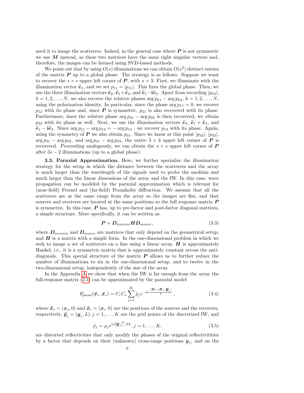need it to image the scatterers. Indeed, in the general case where  $P$  is not symmetric we use  $M$  instead, as these two matrices have the same right singular vectors and, therefore, the images can be formed using SVD-based methods.

We point out that by using  $O(s)$  illuminations we can obtain  $O(s^2)$  distinct entries of the matrix  $P$  up to a global phase. The strategy is as follows. Suppose we want to recover the  $s \times s$  upper left corner of  $P$ , with  $s = 3$ . First, we illuminate with the illumination vector  $\hat{\mathbf{e}}_1$ , and we set  $p_{11} = |p_{11}|$ . This fixes the global phase. Then, we use the three illumination vectors  $\hat{\mathbf{e}}_2$ ,  $\hat{\mathbf{e}}_1+\hat{\mathbf{e}}_2$ , and  $\hat{\mathbf{e}}_1-\hat{\mathbf{i}}\hat{\mathbf{e}}_2$ . Apart from recording  $|p_{k2}|$ ,  $k = 1, 2, \ldots, N$ , we also recover the relative phases  $\arg p_{k1} - \arg p_{k2}, k = 1, 2, \ldots, N$ , using the polarization identity. In particular, since the phase  $\arg p_{11} = 0$ , we recover  $p_{12}$  with its phase and, since  $P$  is symmetric,  $p_{21}$  is also recovered with its phase. Furthermore, since the relative phase  $\arg p_{21} - \arg p_{22}$  is then recovered, we obtain  $p_{22}$  with its phase as well. Next, we use the illumination vectors  $\hat{\epsilon}_3$ ,  $\hat{\epsilon}_1 + \hat{\epsilon}_3$ , and  $\hat{\mathbf{e}}_1$  –  $\hat{\mathbf{i}}\hat{\mathbf{e}}_3$ . Since  $\arg p_{11} - \arg p_{13} = -\arg p_{13}$ , we recover  $p_{13}$  with its phase. Again, using the symmetry of P we also obtain  $p_{31}$ . Since we know at this point  $|p_{32}|$ ,  $|p_{33}|$ ,  $\arg p_{31} - \arg p_{32}$ , and  $\arg p_{31} - \arg p_{33}$ , the entire  $3 \times 3$  upper left corner of P is recovered. Proceeding analogously, we can obtain the  $s \times s$  upper left corner of  $\boldsymbol{P}$ after  $3s - 2$  illuminations (up to a global phase).

<span id="page-6-3"></span>3.3. Paraxial Approximation. Here, we further specialize the illumination strategy for the setup in which the distance between the scatterers and the array is much larger than the wavelength of the signals used to probe the medium and much larger than the linear dimensions of the array and the IW. In this case, wave propagation can be modeled by the paraxial approximation which is relevant for (near-field) Fresnel and (far-field) Fraunhofer diffraction. We assume that all the scatterers are at the same range from the array so the images are flat, and that sources and receivers are located at the same positions so the full response matrix **P** is symmetric. In this case,  $\boldsymbol{P}$  has, up to pre-factor and post-factor diagonal matrices, a simple structure. More specifically, it can be written as

<span id="page-6-1"></span>
$$
P = D_{\text{receiver}} H D_{\text{source}} , \qquad (3.3)
$$

where  $D_{\text{receiver}}$  and  $D_{\text{source}}$  are matrices that only depend on the geometrical setup, and  $H$  is a matrix with a simple form. In the one-dimensional problem in which we seek to image a set of scatterers on a line using a linear array,  $\boldsymbol{H}$  is approximately Hankel, i.e., it is a symmetric matrix that is approximately constant across the antidiagonals. This special structure of the matrix  $P$  allows us to further reduce the number of illuminations to six in the one-dimensional setup, and to twelve in the two-dimensional setup, independently of the size of the array.

In the Appendix [A](#page-15-1) we show that when the IW is far enough from the array the full-response matrix [\(2.1\)](#page-3-4) can be approximated by the paraxial model

<span id="page-6-0"></span>
$$
P_{\text{parax}}(\vec{x}_r, \vec{x}_s) = C_r C_s \sum_{j=1}^K \tilde{\rho}_j e^{-i\kappa \frac{\langle \mathbf{x}_s + \mathbf{x}_r, \mathbf{y}_j \rangle}{L}}, \qquad (3.4)
$$

where  $\vec{x}_s = (\vec{x}_s, 0)$  and  $\vec{x}_r = (\vec{x}_r, 0)$  are the positions of the sources and the receivers, respectively,  $\vec{\boldsymbol{y}}_j = (\boldsymbol{y}_j, L), j = 1, \dots, K$  are the grid points of the discretized IW, and

<span id="page-6-2"></span>
$$
\tilde{\rho}_j = \rho_j e^{i\kappa} |\mathbf{y}_j|^2 / 2L}, j = 1, \dots, K,
$$
\n(3.5)

are distorted reflectivities that only modify the phases of the original reflectivitities by a factor that depends on their (unknown) cross-range positions  $y_j$ , and on the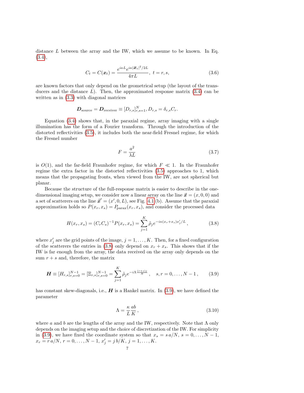distance  $L$  between the array and the IW, which we assume to be known. In Eq. [\(3.4\)](#page-6-0),

<span id="page-7-3"></span>
$$
C_t = C(\mathbf{x}_t) = \frac{e^{i\kappa L}e^{i\kappa |\mathbf{x}_t|^2/2L}}{4\pi L}, \ t = r, s,
$$
\n(3.6)

are known factors that only depend on the geometrical setup (the layout of the transducers and the distance  $L$ ). Then, the approximated response matrix  $(3.4)$  can be written as in [\(3.3\)](#page-6-1) with diagonal matrices

$$
\boldsymbol{D}_{\text{source}} = \boldsymbol{D}_{\text{receiver}} \equiv [D_{r,s}]_{r,s=1}^N, D_{r,s} = \delta_{r,s} C_r.
$$

Equation [\(3.4\)](#page-6-0) shows that, in the paraxial regime, array imaging with a single illumination has the form of a Fourier transform. Through the introduction of the distorted reflectivities [\(3.5\)](#page-6-2), it includes both the near-field Fresnel regime, for which the Fresnel number

<span id="page-7-2"></span>
$$
F = \frac{a^2}{\lambda L} \tag{3.7}
$$

is  $O(1)$ , and the far-field Fraunhofer regime, for which  $F \ll 1$ . In the Fraunhofer regime the extra factor in the distorted reflectivities [\(3.5\)](#page-6-2) approaches to 1, which means that the propagating fronts, when viewed from the IW, are not spherical but planar.

Because the structure of the full-response matrix is easier to describe in the onedimensional imaging setup, we consider now a linear array on the line  $\vec{x} = (x, 0, 0)$  and a set of scatterers on the line  $\vec{x}' = (x', 0, L)$ , see Fig. [4.1](#page-3-0) (b). Assume that the paraxial approximation holds so  $P(x_r, x_s) = P_{\text{para}}(x_r, x_s)$ , and consider the processed data

<span id="page-7-0"></span>
$$
H(x_r, x_s) = (C_r C_s)^{-1} P(x_r, x_s) = \sum_{j=1}^{K} \tilde{\rho}_j e^{-i\kappa (x_r + x_s)x'_j/L}, \qquad (3.8)
$$

where  $x'_{j}$  are the grid points of the image,  $j = 1, ..., K$ . Then, for a fixed configuration of the scatterers the entries in [\(3.8\)](#page-7-0) only depend on  $x_r + x_s$ . This shows that if the IW is far enough from the array, the data received on the array only depends on the sum  $r + s$  and, therefore, the matrix

<span id="page-7-1"></span>
$$
\boldsymbol{H} \equiv [H_{r,s}]_{r,s=0}^{N-1} = [\Xi_{r,s}]_{r,s=0}^{N-1} = \sum_{j=1}^{K} \tilde{\rho}_j e^{-i\Lambda \frac{(r+s)j}{N}}, \quad s, r = 0, \dots, N-1, \quad (3.9)
$$

has constant skew-diagonals, i.e.,  $H$  is a Hankel matrix. In [\(3.9\)](#page-7-1), we have defined the parameter

$$
\Lambda = \frac{\kappa}{L} \frac{ab}{K},\tag{3.10}
$$

where a and b are the lengths of the array and the IW, respectively. Note that  $\Lambda$  only depends on the imaging setup and the choice of discretization of the IW. For simplicity in [\(3.9\)](#page-7-1), we have fixed the coordinate system so that  $x_s = s a/N$ ,  $s = 0, \ldots, N-1$ ,  $x_r = r a/N, r = 0, \ldots, N - 1, x'_j = j b/K, j = 1, \ldots, K.$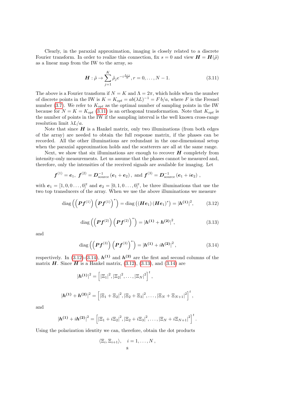Clearly, in the paraxial approximation, imaging is closely related to a discrete Fourier transform. In order to realize this connection, fix  $s = 0$  and view  $H = H(\tilde{\rho})$ as a linear map from the IW to the array, so

<span id="page-8-0"></span>
$$
\boldsymbol{H} : \tilde{\rho} \to \sum_{j=1}^{K} \tilde{\rho}_j e^{-i\frac{\Lambda r_j}{N}}, r = 0, \dots, N - 1.
$$
 (3.11)

The above is a Fourier transform if  $N = K$  and  $\Lambda = 2\pi$ , which holds when the number of discrete points in the IW is  $K = K_{opt} = ab(\lambda L)^{-1} = F b/a$ , where F is the Fresnel number [\(3.7\)](#page-7-2). We refer to  $K_{opt}$  as the optimal number of sampling points in the IW because for  $N = K = K_{opt}$  [\(3.11\)](#page-8-0) is an orthogonal transformation. Note that  $K_{opt}$  is the number of points in the IW if the sampling interval is the well known cross-range resolution limit  $\lambda L/a$ .

Note that since  $H$  is a Hankel matrix, only two illuminations (from both edges of the array) are needed to obtain the full response matrix, if the phases can be recorded. All the other illuminations are redundant in the one-dimensional setup when the paraxial approximation holds and the scatterers are all at the same range.

Next, we show that six illuminations are enough to recover  $H$  completely from intensity-only measurements. Let us assume that the phases cannot be measured and, therefore, only the intensities of the received signals are available for imaging. Let

$$
f^{(1)} = e_1
$$
,  $f^{(2)} = D_{\text{source}}^{-1} (e_1 + e_2)$ , and  $f^{(3)} = D_{\text{source}}^{-1} (e_1 + ie_2)$ ,

with  $e_1 = [1, 0, 0, \ldots, 0]^t$  and  $e_2 = [0, 1, 0, \ldots, 0]^t$ , be three illuminations that use the two top transducers of the array. When we use the above illuminations we measure

<span id="page-8-1"></span>diag 
$$
(\left( Pf^{(1)} \right) \left( Pf^{(1)} \right)^{*}) = \text{diag} \left( (\mathbf{He}_1) (\mathbf{He}_1)^{*} \right) = |\mathbf{h^{(1)}}|^2,
$$
 (3.12)

<span id="page-8-3"></span>diag 
$$
((Pf^{(2)}) (Pf^{(2)})^*) = |h^{(1)} + h^{(2)}|^2,
$$
 (3.13)

and

<span id="page-8-2"></span>diag 
$$
(\left(Pf^{(3)}\right)\left(Pf^{(3)}\right)^{*}) = |h^{(1)} + ih^{(2)}|^{2}
$$
, (3.14)

,

respectively. In [\(3.12\)](#page-8-1)-[\(3.14\)](#page-8-2),  $h^{(1)}$  and  $h^{(2)}$  are the first and second columns of the matrix  $\boldsymbol{H}$ . Since  $\boldsymbol{H}$  is a Hankel matrix, [\(3.12\)](#page-8-1), [\(3.13\)](#page-8-3), and [\(3.14\)](#page-8-2) are

$$
|\boldsymbol{h^{(1)}}|^2 = \left[ |\Xi_1|^2, |\Xi_2|^2, \dots, |\Xi_N|^2 \right]^t,
$$
  

$$
|\boldsymbol{h^{(1)}} + \boldsymbol{h^{(2)}}|^2 = \left[ |\Xi_1 + \Xi_2|^2, |\Xi_2 + \Xi_3|^2, \dots, |\Xi_N + \Xi_{N+1}|^2 \right]^t
$$

and

$$
|\mathbf{h^{(1)}}+i\mathbf{h^{(2)}}|^2=\left[|\Xi_1+i\Xi_2|^2,|\Xi_2+i\Xi_3|^2,\ldots,|\Xi_N+i\Xi_{N+1}|^2\right]^t.
$$

Using the polarization identity we can, therefore, obtain the dot products

$$
\langle \Xi_i, \Xi_{i+1} \rangle, \quad i = 1, \dots, N,
$$
8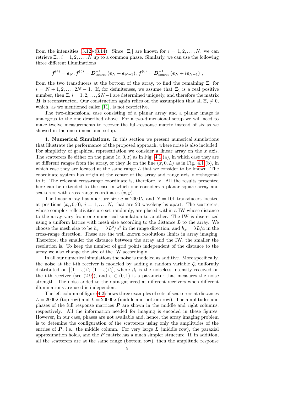from the intensities [\(3.12\)](#page-8-1)-[\(3.14\)](#page-8-2). Since  $|\Xi_i|$  are known for  $i = 1, 2, ..., N$ , we can retrieve  $\Xi_i$ ,  $i = 1, 2, ..., N$  up to a common phase. Similarly, we can use the following three different illuminations

$$
\bm{f}^{(4)} = \bm{e}_N, \bm{f}^{(5)} = \bm{D}_{\text{source}}^{-1}\left(\bm{e}_N + \bm{e}_{N-1}\right), \bm{f}^{(6)} = \bm{D}_{\text{source}}^{-1}\left(\bm{e}_N + i \bm{e}_{N-1}\right)\,,
$$

from the two transducers at the bottom of the array, to find the remaining  $\Xi_i$  for  $i = N + 1, 2, \ldots, 2N - 1$ . If, for definiteness, we assume that  $\Xi_1$  is a real positive number, then  $\Xi_i$  i = 1, 2, ..., 2N – 1 are determined uniquely, and therefore the matrix **H** is reconstructed. Our construction again relies on the assumption that all  $\Xi_i \neq 0$ , which, as we mentioned ealier [\[11\]](#page-18-15), is not restrictive.

The two-dimensional case consisting of a planar array and a planar image is analogous to the one described above. For a two-dimensional setup we will need to make twelve measurements to recover the full-response matrix instead of six as we showed in the one-dimensional setup.

<span id="page-9-0"></span>4. Numerical Simulations. In this section we present numerical simulations that illustrate the performance of the proposed approach, where noise is also included. For simplicity of graphical representation we consider a linear array on the  $x$  axis. The scatterers lie either on the plane  $(x, 0, z)$  as in Fig. [4.1](#page-3-0) (a), in which case they are at different ranges from the array, or they lie on the line  $(x, 0, L)$  as in Fig. [4.1](#page-3-0) (b), in which case they are located at the same range  $L$  that we consider to be known. The coordinate system has origin at the center of the array and range axis z orthogonal to it. The relevant cross-range coordinate is, therefore,  $x$ . All the results presented here can be extended to the case in which one considers a planar square array and scatterers with cross-range coordinates  $(x, y)$ .

The linear array has aperture size  $a = 2000\lambda$ , and  $N = 101$  transducers located at positions  $(x_i, 0, 0)$ ,  $i = 1, \ldots, N$ , that are 20 wavelengths apart. The scatterers, whose complex reflectivities are set randomly, are placed within a IW whose distance to the array vary from one numerical simulation to another. The IW is discretized using a uniform lattice with mesh size according to the distance  $L$  to the array. We choose the mesh size to be  $h_z = \lambda L^2/a^2$  in the range direction, and  $h_x = \lambda L/a$  in the cross-range direction. These are the well known resolutions limits in array imaging. Therefore, the smaller the distance between the array and the IW, the smaller the resolution is. To keep the number of grid points independent of the distance to the array we also change the size of the IW accordingly.

In all our numerical simulations the noise is modeled as additive. More specifically, the noise at the i-th receiver is modeled by adding a random variable  $\zeta_i$  uniformly distributed on  $[(1 - \varepsilon)\beta_i, (1 + \varepsilon)\beta_i]$ , where  $\beta_i$  is the noiseless intensity received on the i-th receiver (see [\(2.9\)](#page-4-3)), and  $\varepsilon \in (0,1)$  is a parameter that measures the noise strength. The noise added to the data gathered at different receivers when different illuminations are used is independent.

The left column of figure [4.2](#page-11-0) shows three examples of sets of scatterers at distances  $L = 2000\lambda$  (top row) and  $L = 20000\lambda$  (middle and bottom row). The amplitudes and phases of the full response matrices  $P$  are shown in the middle and right columns, respectively. All the information needed for imaging is encoded in these figures. However, in our case, phases are not available and, hence, the array imaging problem is to detemine the configuration of the scatterers using only the amplitudes of the entries of  $P$ , i.e., the middle column. For very large  $L$  (middle row), the paraxial approximation holds, and the  $P$  matrix has a much simpler structure. If, in addition, all the scatterers are at the same range (bottom row), then the amplitude response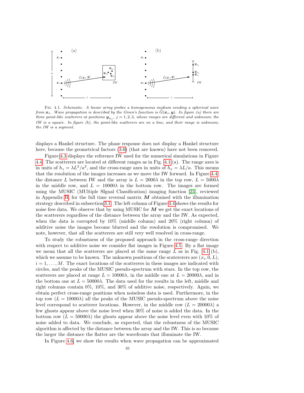

Fig. 4.1. Schematic. A linear array probes a homogeneous medium sending a spherical wave from  $x_s$ . Wave propagation is described by the Green's function is  $\tilde{G}(x_s, y)$ . In figure (a) there are three point-like scatterers at positions  $\bm{y}_{n_j}$ ,  $j = 1, 2, 3$ , whose ranges are different and unknown; the IW is a square. In figure (b), the point-like scatterers are on a line, and their range is unknown; the IW is a segment.

displays a Hankel structure. The phase response does not display a Hankel structure here, because the geometrical factors  $(3.6)$  (that are known) have not been removed.

Figure [4.3](#page-11-1) displays the reference IW used for the numerical simulations in Figure [4.4.](#page-12-0) The scatterers are located at different ranges as in Fig. [4.1](#page-3-0) (a). The range axes is in units of  $h_z = \lambda L^2/a^2$ , and the cross-range axes in units of  $h_x = \lambda L/a$ . This means that the resolution of the images increases as we move the IW forward. In Figure [4.4,](#page-12-0) the distance L between IW and the array is  $L = 2000\lambda$  in the top row,  $L = 5000\lambda$ in the middle row, and  $L = 10000\lambda$  in the bottom row. The images are formed using the MUSIC (MUltiple SIgnal Classification) imaging function [\[23\]](#page-18-16), reviewed in Appendix [B,](#page-16-0) for the full time reversal matrix  $M$  obtained with the illumination strategy described in subsection [3.1.](#page-5-2) The left column of Figure [4.4](#page-12-0) shows the results for noise free data. We observe that by using MUSIC for  $\boldsymbol{M}$  we get the exact locations of the scatterers regardless of the distance between the array and the IW. As expected, when the data is corrupted by  $10\%$  (middle column) and  $20\%$  (right column) of additive noise the images become blurred and the resolution is compromised. We note, however, that all the scatterers are still very well resolved in cross-range.

To study the robustness of the proposed approach in the cross-range direction with respect to additive noise we consider flat images in Figure [4.5.](#page-13-0) By a flat image we mean that all the scatterers are placed at the same range  $L$  as in Fig. [4.1](#page-3-0) (b), which we assume to be known. The unknown positions of the scatererers are  $(x_i, 0, L)$ ,  $i = 1, \ldots, M$ . The exact locations of the scatterers in these images are indicated with circles, and the peaks of the MUSIC pseudo-spectrum with stars. In the top row, the scatterers are placed at range  $L = 10000\lambda$ , in the middle one at  $L = 20000\lambda$ , and in the bottom one at  $L = 50000\lambda$ . The data used for the results in the left, middle and right columns contain 0%, 10%, and 30% of additive noise, respectively. Again, we obtain perfect cross-range positions when noiseless data is used. Furthermore, in the top row  $(L = 10000\lambda)$  all the peaks of the MUSIC pseudo-spectrum above the noise level correspond to scatterer locations. However, in the middle row  $(L = 20000\lambda)$  a few ghosts appear above the noise level when 30% of noise is added the data. In the bottom row  $(L = 50000\lambda)$  the ghosts appear above the noise level even with 10% of noise added to data. We conclude, as expected, that the robustness of the MUSIC algorithm is affected by the distance between the array and the IW. This is so because the larger the distance the flatter are the wavefronts that illuminate the IW.

In Figure [4.6,](#page-14-0) we show the results when wave propagation can be approximated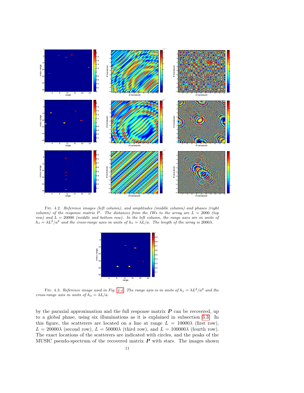

Fig. 4.2. Reference images (left column), and amplitudes (middle column) and phases (right column) of the response matrix P. The distances from the IWs to the array are  $L = 2000$  (top row) and  $L = 20000$  (middle and bottom row). In the left column, the range axes are in units of  $h_z = \lambda L^2/a^2$  and the cross-range axes in units of  $h_x = \lambda L/a$ . The length of the array is 2000 $\lambda$ .

<span id="page-11-1"></span><span id="page-11-0"></span>

FIG. 4.3. Reference image used in Fig. [4.4.](#page-12-0) The range axis is in units of  $h_z = \lambda L^2/a^2$  and the cross-range axis in units of  $h_x = \lambda L/a$ .

by the paraxial approximation and the full response matrix  $P$  can be recovered, up to a global phase, using six illuminations as it is explained in subsection [3.3.](#page-6-3) In this figure, the scatterers are located on a line at range  $L = 10000\lambda$  (first row),  $L = 20000\lambda$  (second row),  $L = 50000\lambda$  (third row), and  $L = 100000\lambda$  (fourth row). The exact locations of the scatterers are indicated with circles, and the peaks of the MUSIC pseudo-spectrum of the recovered matrix  $P$  with stars. The images shown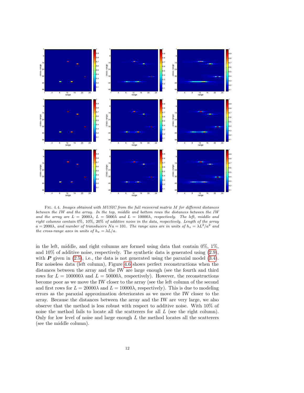

<span id="page-12-0"></span>FIG. 4.4. Images obtained with MUSIC from the full recovered matrix M for different distances between the IW and the array. In the top, middle and bottom rows the distances between the IW and the array are  $L = 2000\lambda$ ,  $L = 5000\lambda$  and  $L = 10000\lambda$ , respectively. The left, middle and right columns contain 0%, 10%, 20% of additive noise in the data, respectively. Length of the array  $a = 2000\lambda$ , and number of transducers  $Na = 101$ . The range axes are in units of  $h_z = \lambda L^2/a^2$  and the cross-range axes in units of  $h_x = \lambda L/a$ .

in the left, middle, and right columns are formed using data that contain  $0\%$ ,  $1\%$ , and  $10\%$  of additive noise, respectively. The synthetic data is generated using  $(2.9)$ , with  $P$  given in [\(2.5\)](#page-3-3), i.e., the data is not generated using the paraxial model [\(3.4\)](#page-6-0). For noiseless data (left column), Figure [4.6](#page-14-0) shows perfect reconstructions when the distances between the array and the IW are large enough (see the fourth and third rows for  $L = 100000\lambda$  and  $L = 50000\lambda$ , respectively). However, the reconstructions become poor as we move the IW closer to the array (see the left column of the second and first rows for  $L = 20000\lambda$  and  $L = 10000\lambda$ , respectively). This is due to modeling errors as the paraxial approximation deteriorates as we move the IW closer to the array. Because the distances between the array and the IW are very large, we also observe that the method is less robust with respect to additive noise. With 10% of noise the method fails to locate all the scatterers for all  $L$  (see the right column). Only for low level of noise and large enough  $L$  the method locates all the scatterers (see the middle column).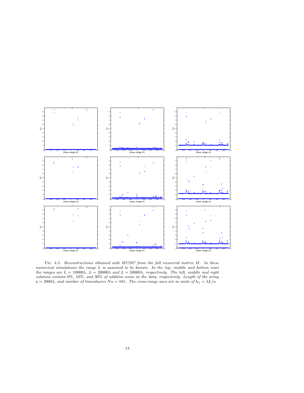

<span id="page-13-0"></span>Fig. 4.5. Reconstructions obtained with MUSIC from the full recovered matrix M. In these numerical simulations the range L is assumed to be known. In the top, middle and bottom rows the ranges are  $L = 10000\lambda$ ,  $L = 20000\lambda$  and  $L = 50000\lambda$ , respectively. The left, middle and right columns contain 0%, 10%, and 30% of additive noise in the data, respectively. Length of the array  $a = 2000\lambda$ , and number of transducers  $Na = 101$ . The cross-range axes are in units of  $h_x = \lambda L/a$ .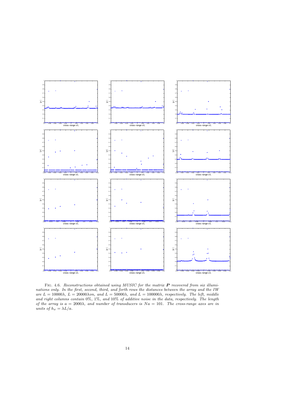

<span id="page-14-0"></span>FIG. 4.6. Reconstructions obtained using MUSIC for the matrix  $P$  recovered from six illuminations only. In the first, second, third, and forth rows the distances between the array and the IW are  $L = 10000\lambda$ ,  $L = 20000\lambda$ on, and  $L = 50000\lambda$ , and  $L = 100000\lambda$ , respectively. The left, middle and right columns contain 0%, 1%, and 10% of additive noise in the data, respectively. The length of the array is  $a = 2000\lambda$ , and number of transducers is  $Na = 101$ . The cross-range axes are in units of  $h_x = \lambda L/a$ .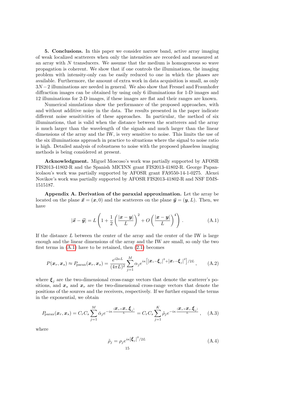<span id="page-15-0"></span>5. Conclusions. In this paper we consider narrow band, active array imaging of weak localized scatterers when only the intensities are recorded and measured at an array with  $N$  transducers. We assume that the medium is homogeneous so wave propagation is coherent. We show that if one controls the illuminations, the imaging problem with intensity-only can be easily reduced to one in which the phases are available. Furthermore, the amount of extra work in data acquisition is small, as only  $3N-2$  illuminations are needed in general. We also show that Fresnel and Fraunhofer diffraction images can be obtained by using only 6 illuminations for 1-D images and 12 illuminations for 2-D images, if these images are flat and their ranges are known.

Numerical simulations show the performance of the proposed approaches, with and without additive noisy in the data. The results presented in the paper indicate different noise sensitivities of these approaches. In particular, the method of six illuminations, that is valid when the distance between the scatterers and the array is much larger than the wavelength of the signals and much larger than the linear dimensions of the array and the IW, is very sensitive to noise. This limits the use of the six illuminations approach in practice to situations where the signal to noise ratio is high. Detailed analysis of robustness to noise with the proposed phaseless imaging methods is being considered at present.

Acknowledgment. Miguel Moscoso's work was partially supported by AFOSR FIS2013-41802-R and the Spanish MICINN grant FIS2013-41802-R. George Papanicolaou's work was partially supported by AFOSR grant FA9550-14-1-0275. Alexei Novikov's work was partially supported by AFOSR FIS2013-41802-R and NSF DMS-1515187.

<span id="page-15-1"></span>Appendix A. Derivation of the paraxial approximation. Let the array be located on the plane  $\vec{x} = (\vec{x}, 0)$  and the scatterers on the plane  $\vec{y} = (\vec{y}, L)$ . Then, we have

<span id="page-15-2"></span>
$$
|\vec{x} - \vec{y}| = L\left(1 + \frac{1}{2}\left(\frac{|\bm{x} - \bm{y}|}{L}\right)^2 + O\left(\frac{|\bm{x} - \bm{y}|}{L}\right)^4\right). \tag{A.1}
$$

If the distance L between the center of the array and the center of the IW is large enough and the linear dimensions of the array and the IW are small, so only the two first terms in  $(A.1)$  have to be retained, then  $(2.1)$  becomes

<span id="page-15-4"></span>
$$
P(\boldsymbol{x}_r, \boldsymbol{x}_s) \approx P_{\text{parax}}(\boldsymbol{x}_r, \boldsymbol{x}_s) = \frac{e^{i2\kappa L}}{(4\pi L)^2} \sum_{j=1}^M \alpha_j e^{i\kappa} \left[ |\boldsymbol{x}_s - \boldsymbol{\xi}_j|^2 + |\boldsymbol{x}_r - \boldsymbol{\xi}_j|^2 \right] / 2L \,, \tag{A.2}
$$

where  $\xi_j$  are the two-dimensional cross-range vectors that denote the scatterer's positions, and  $x_s$  and  $x_r$  are the two-dimensional cross-range vectors that denote the positions of the sources and the receivers, respectively. If we further expand the terms in the exponential, we obtain

<span id="page-15-3"></span>
$$
P_{\text{parax}}(\boldsymbol{x}_r, \boldsymbol{x}_s) = C_r C_s \sum_{j=1}^M \bar{\alpha}_j e^{-i\kappa \frac{\langle \boldsymbol{x}_s + \boldsymbol{x}_r, \boldsymbol{\xi}_j \rangle}{L}} = C_r C_s \sum_{j=1}^K \tilde{\rho}_j e^{-i\kappa \frac{\langle \boldsymbol{x}_s + \boldsymbol{x}_r, \boldsymbol{\xi}_j \rangle}{L}}, \quad (A.3)
$$

where

$$
\tilde{\rho}_j = \rho_j e^{i\kappa |\xi_j|^2 / 2L}
$$
\n<sup>(A.4)</sup>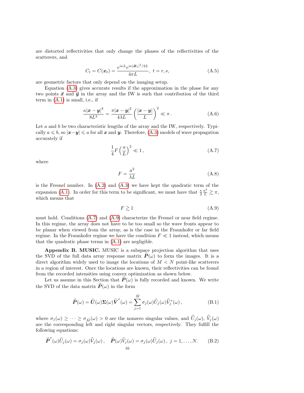are distorted reflectivities that only change the phases of the reflectivities of the scatterers, and

$$
C_t = C(\mathbf{x}_t) = \frac{e^{i\kappa L}e^{i\kappa |\mathbf{x}_t|^2/2L}}{4\pi L}, \ t = r, s,
$$
 (A.5)

are geometric factors that only depend on the imaging setup.

Equation [\(A.3\)](#page-15-3) gives accurate results if the approximation in the phase for any two points  $\vec{x}$  and  $\vec{y}$  in the array and the IW is such that contribution of the third term in [\(A.1\)](#page-15-2) is small, i.e., if

$$
\frac{\kappa |\boldsymbol{x} - \boldsymbol{y}|^4}{8L^3} = \frac{\pi |\boldsymbol{x} - \boldsymbol{y}|^2}{4\lambda L} \left(\frac{|\boldsymbol{x} - \boldsymbol{y}|}{L}\right)^2 \ll \pi.
$$
 (A.6)

Let  $a$  and  $b$  be two characteristic lengths of the array and the IW, respectively. Typically  $a \leq b$ , so  $|x-y| \leq a$  for all x and y. Therefore, [\(A.3\)](#page-15-3) models of wave propagation accurately if

<span id="page-16-1"></span>
$$
\frac{1}{4}F\left(\frac{a}{L}\right)^2 \ll 1\,,\tag{A.7}
$$

where

$$
F = \frac{a^2}{\lambda L} \tag{A.8}
$$

is the Fresnel number. In  $(A.2)$  and  $(A.3)$  we have kept the quadratic term of the expansion [\(A.1\)](#page-15-2). In order for this term to be significant, we must have that  $\frac{\kappa}{2} \frac{a^2}{L} \gtrsim \pi$ , which means that

<span id="page-16-2"></span>
$$
F \gtrsim 1\tag{A.9}
$$

must hold. Conditions [\(A.7\)](#page-16-1) and [\(A.9\)](#page-16-2) characterize the Fresnel or near field regime. In this regime, the array does not have to be too small so the wave fronts appear to be planar when viewed from the array, as is the case in the Fraunhofer or far field regime. In the Fraunhofer regime we have the condition  $F \ll 1$  instead, which means that the quadratic phase terms in [\(A.1\)](#page-15-2) are negligible.

<span id="page-16-0"></span>Appendix B. MUSIC. MUSIC is a subspace projection algorithm that uses the SVD of the full data array response matrix  $\vec{P}(\omega)$  to form the images. It is a direct algorithm widely used to image the locations of  $M < N$  point-like scatterers in a region of interest. Once the locations are known, their reflectivities can be found from the recorded intensities using convex optimization as shown below.

Let us assume in this Section that  $\hat{P}(\omega)$  is fully recorded and known. We write the SVD of the data matrix  $\widehat{P}(\omega)$  in the form

<span id="page-16-3"></span>
$$
\widehat{P}(\omega) = \widehat{U}(\omega)\Sigma(\omega)\widehat{V}^*(\omega) = \sum_{j=1}^{\tilde{M}} \sigma_j(\omega)\widehat{U}_j(\omega)\widehat{V}_j^*(\omega),
$$
\n(B.1)

where  $\sigma_1(\omega) \geq \cdots \geq \sigma_{\tilde{M}}(\omega) > 0$  are the nonzero singular values, and  $\hat{U}_j(\omega)$ ,  $\hat{V}_j(\omega)$ are the corresponding left and right singular vectors, respectively. They fulfill the following equations:

$$
\widehat{\boldsymbol{P}}^{*}(\omega)\widehat{U}_{j}(\omega) = \sigma_{j}(\omega)\widehat{V}_{j}(\omega), \quad \widehat{\boldsymbol{P}}(\omega)\widehat{V}_{j}(\omega) = \sigma_{j}(\omega)\widehat{U}_{j}(\omega), \ j = 1, ..., N. \tag{B.2}
$$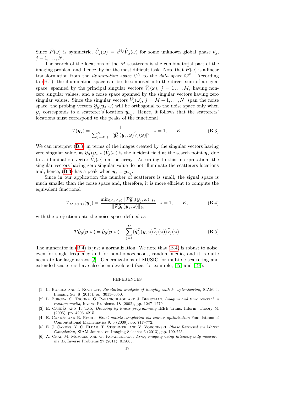Since  $\hat{P}(\omega)$  is symmetric,  $\hat{U}_j(\omega) = e^{i\theta_j} \hat{V}_j(\omega)$  for some unknown global phase  $\theta_j$ ,  $j=1,\ldots,N$ .

The search of the locations of the  $M$  scatterers is the combinatorial part of the imaging problem and, hence, by far the most difficult task. Note that  $\hat{P}(\omega)$  is a linear transformation from the *illumination space*  $\mathbb{C}^N$  to the *data space*  $\mathbb{C}^N$ . According to [\(B.1\)](#page-16-3), the illumination space can be decomposed into the direct sum of a signal space, spanned by the principal singular vectors  $\hat{V}_i(\omega)$ ,  $j = 1, ..., M$ , having nonzero singular values, and a noise space spanned by the singular vectors having zero singular values. Since the singular vectors  $\hat{V}_j(\omega), j = M + 1, \ldots, N$ , span the noise space, the probing vectors  $\hat{g}_0(y_j, \omega)$  will be orthogonal to the noise space only when<br> $\omega$  expressionals to a sectionary logation  $\omega$ . Hence, it follows that the sectionary  $y_j$  corresponds to a scatterer's location  $y_{n_j}$ . Hence, it follows that the scatterers' locations must correspond to the peaks of the functional

<span id="page-17-4"></span>
$$
\mathcal{I}(\boldsymbol{y}_s) = \frac{1}{\sum_{j=M+1}^N |\widehat{\boldsymbol{g}}_0^T(\boldsymbol{y}_s, \omega)\widehat{V}_j(\omega)|^2}, \ s = 1, \dots, K.
$$
 (B.3)

We can interpret [\(B.3\)](#page-17-4) in terms of the images created by the singular vectors having zero singular value, as  $\widehat{g}_0^T(y_s, \omega) \widehat{V}_j(\omega)$  is the incident field at the search point  $y_s$  due to a illumination vector  $\hat{V}_i(\omega)$  on the array. According to this interpretation, the singular vectors having zero singular value do not illuminate the scatterers locations and, hence, [\(B.3\)](#page-17-4) has a peak when  $y_s = y_{n_j}$ .

Since in our application the number of scatterers is small, the signal space is much smaller than the noise space and, therefore, it is more efficient to compute the equivalent functional

<span id="page-17-5"></span>
$$
\mathcal{I}_{MUSIC}(\boldsymbol{y}_s) = \frac{\min_{1 \le j \le K} \|\mathcal{P}\widehat{\boldsymbol{g}}_0(\boldsymbol{y}_j,\omega)\|_{\ell_2}}{\|\mathcal{P}\widehat{\boldsymbol{g}}_0(\boldsymbol{y}_s,\omega)\|_{\ell_2}}, \ s = 1,\ldots,K,
$$
 (B.4)

with the projection onto the noise space defined as

$$
\mathcal{P}\hat{\mathbf{g}}_{0}(\mathbf{y},\omega) = \hat{\mathbf{g}}_{0}(\mathbf{y},\omega) - \sum_{j=1}^{M} (\hat{\mathbf{g}}_{0}^{T}(\mathbf{y},\omega)\hat{V}_{j}(\omega))\hat{V}_{j}(\omega).
$$
(B.5)

The numerator in  $(B.4)$  is just a normalization. We note that  $(B.4)$  is robust to noise, even for single frequency and for non-homogeneous, random media, and it is quite accurate for large arrays [\[2\]](#page-17-6). Generalizations of MUSIC for multiple scattering and extended scatterers have also been developed (see, for example, [\[17\]](#page-18-17) and [\[19\]](#page-18-18)).

## REFERENCES

- <span id="page-17-3"></span>[1] L. BORCEA AND I. KOCYIGIT, Resolution analysis of imaging with  $\ell_1$  optimization, SIAM J. Imaging Sci. 8 (2015), pp. 3015–3050.
- <span id="page-17-6"></span>[2] L. BORCEA, C. TSOGKA, G. PAPANICOLAOU AND J. BERRYMAN, Imaging and time reversal in random media, Inverse Problems. 18 (2002), pp. 1247–1279.
- [3] E. CANDÈS AND T. TAO, *Decoding by linear programming* IEEE Trans. Inform. Theory 51 (2005), pp. 4203–4215.
- <span id="page-17-2"></span>[4] E. CANDÈS AND B. RECHT, Exact matrix completion via convex optimization Foundations of Computational Mathematics 9, 6 (2009), pp. 717–772.
- <span id="page-17-1"></span>[5] E. J. CANDÈS, Y. C. ELDAR, T. STROHMER, AND V. VORONINSKI, Phase Retrieval via Matrix Completion, SIAM Journal on Imaging Sciences 6 (2013), pp. 199-225.
- <span id="page-17-0"></span>[6] A. Chai, M. Moscoso and G. Papanicolaou, Array imaging using intensity-only measurements, Inverse Problems 27 (2011), 015005.